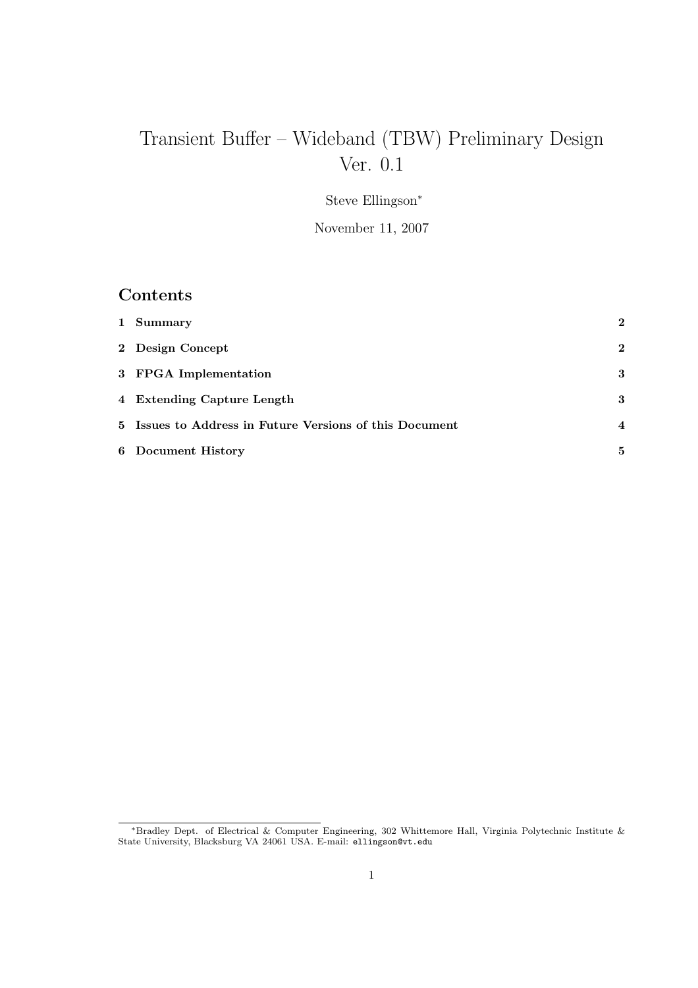# Transient Buffer – Wideband (TBW) Preliminary Design Ver. 0.1

Steve Ellingson<sup>∗</sup>

November 11, 2007

## Contents

| 1 Summary                                               | $\mathbf{2}$   |
|---------------------------------------------------------|----------------|
| 2 Design Concept                                        | $\bf{2}$       |
| 3 FPGA Implementation                                   | 3              |
| 4 Extending Capture Length                              | 3              |
| 5 Issues to Address in Future Versions of this Document | $\overline{4}$ |
| 6 Document History                                      | 5              |

<sup>∗</sup>Bradley Dept. of Electrical & Computer Engineering, 302 Whittemore Hall, Virginia Polytechnic Institute & State University, Blacksburg VA 24061 USA. E-mail: ellingson@vt.edu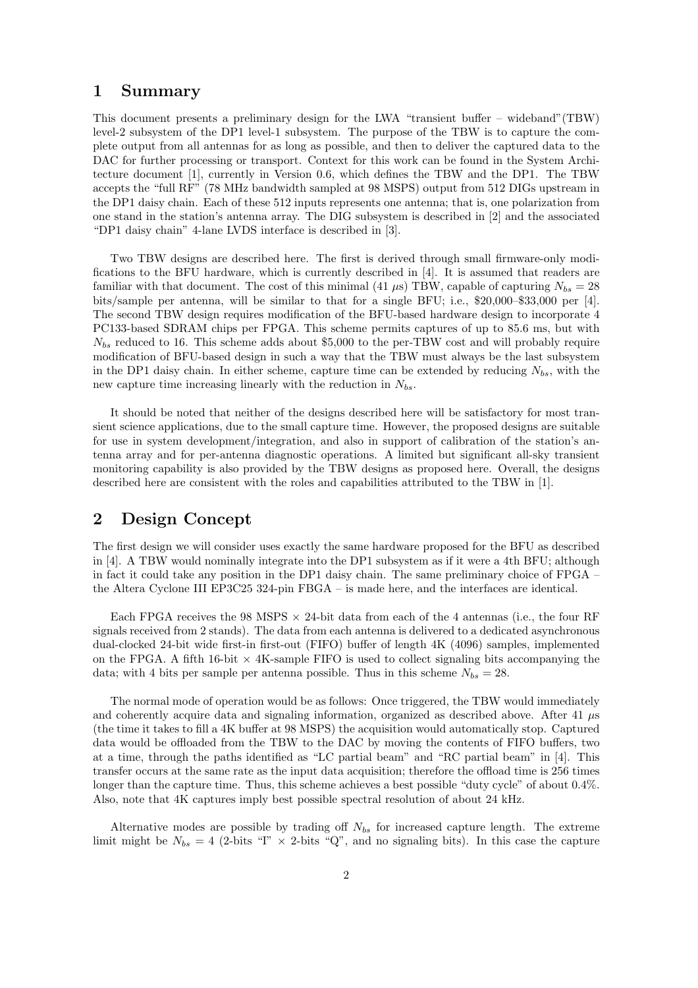#### 1 Summary

This document presents a preliminary design for the LWA "transient buffer – wideband"(TBW) level-2 subsystem of the DP1 level-1 subsystem. The purpose of the TBW is to capture the complete output from all antennas for as long as possible, and then to deliver the captured data to the DAC for further processing or transport. Context for this work can be found in the System Architecture document [1], currently in Version 0.6, which defines the TBW and the DP1. The TBW accepts the "full RF" (78 MHz bandwidth sampled at 98 MSPS) output from 512 DIGs upstream in the DP1 daisy chain. Each of these 512 inputs represents one antenna; that is, one polarization from one stand in the station's antenna array. The DIG subsystem is described in [2] and the associated "DP1 daisy chain" 4-lane LVDS interface is described in [3].

Two TBW designs are described here. The first is derived through small firmware-only modifications to the BFU hardware, which is currently described in [4]. It is assumed that readers are familiar with that document. The cost of this minimal (41  $\mu$ s) TBW, capable of capturing  $N_{bs} = 28$ bits/sample per antenna, will be similar to that for a single BFU; i.e., \$20,000–\$33,000 per [4]. The second TBW design requires modification of the BFU-based hardware design to incorporate 4 PC133-based SDRAM chips per FPGA. This scheme permits captures of up to 85.6 ms, but with  $N_{bs}$  reduced to 16. This scheme adds about \$5,000 to the per-TBW cost and will probably require modification of BFU-based design in such a way that the TBW must always be the last subsystem in the DP1 daisy chain. In either scheme, capture time can be extended by reducing  $N_{bs}$ , with the new capture time increasing linearly with the reduction in  $N_{bs}$ .

It should be noted that neither of the designs described here will be satisfactory for most transient science applications, due to the small capture time. However, the proposed designs are suitable for use in system development/integration, and also in support of calibration of the station's antenna array and for per-antenna diagnostic operations. A limited but significant all-sky transient monitoring capability is also provided by the TBW designs as proposed here. Overall, the designs described here are consistent with the roles and capabilities attributed to the TBW in [1].

#### 2 Design Concept

The first design we will consider uses exactly the same hardware proposed for the BFU as described in [4]. A TBW would nominally integrate into the DP1 subsystem as if it were a 4th BFU; although in fact it could take any position in the DP1 daisy chain. The same preliminary choice of FPGA – the Altera Cyclone III EP3C25 324-pin FBGA – is made here, and the interfaces are identical.

Each FPGA receives the 98 MSPS  $\times$  24-bit data from each of the 4 antennas (i.e., the four RF signals received from 2 stands). The data from each antenna is delivered to a dedicated asynchronous dual-clocked 24-bit wide first-in first-out (FIFO) buffer of length 4K (4096) samples, implemented on the FPGA. A fifth 16-bit  $\times$  4K-sample FIFO is used to collect signaling bits accompanying the data; with 4 bits per sample per antenna possible. Thus in this scheme  $N_{bs} = 28$ .

The normal mode of operation would be as follows: Once triggered, the TBW would immediately and coherently acquire data and signaling information, organized as described above. After 41  $\mu$ s (the time it takes to fill a 4K buffer at 98 MSPS) the acquisition would automatically stop. Captured data would be offloaded from the TBW to the DAC by moving the contents of FIFO buffers, two at a time, through the paths identified as "LC partial beam" and "RC partial beam" in [4]. This transfer occurs at the same rate as the input data acquisition; therefore the offload time is 256 times longer than the capture time. Thus, this scheme achieves a best possible "duty cycle" of about  $0.4\%$ . Also, note that 4K captures imply best possible spectral resolution of about 24 kHz.

Alternative modes are possible by trading off  $N_{bs}$  for increased capture length. The extreme limit might be  $N_{bs} = 4$  (2-bits "I"  $\times$  2-bits "Q", and no signaling bits). In this case the capture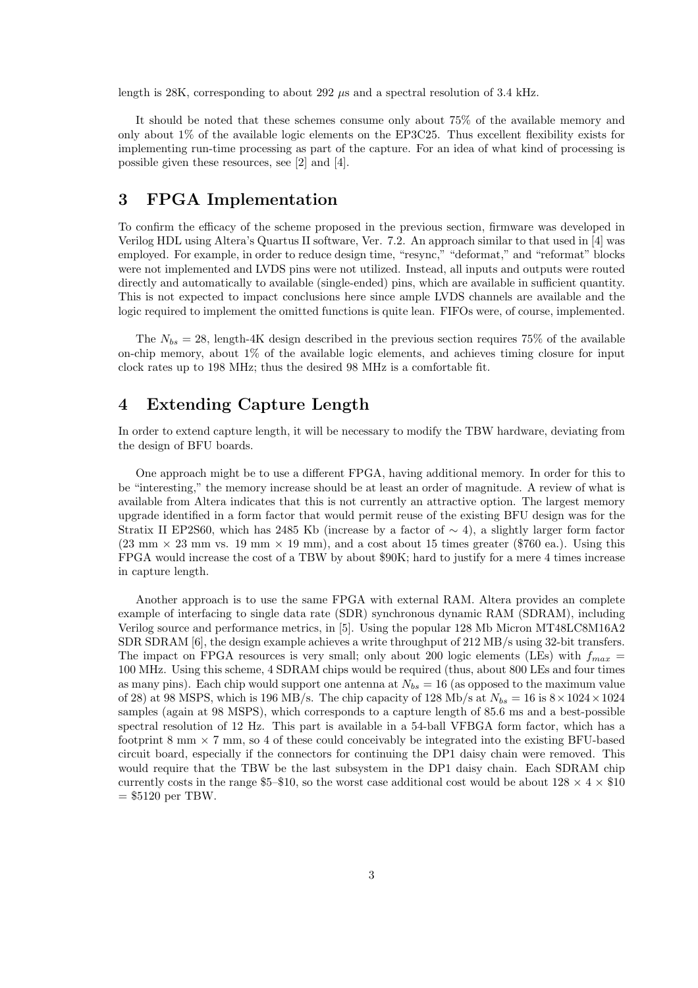length is 28K, corresponding to about 292  $\mu$ s and a spectral resolution of 3.4 kHz.

It should be noted that these schemes consume only about 75% of the available memory and only about 1% of the available logic elements on the EP3C25. Thus excellent flexibility exists for implementing run-time processing as part of the capture. For an idea of what kind of processing is possible given these resources, see [2] and [4].

#### 3 FPGA Implementation

To confirm the efficacy of the scheme proposed in the previous section, firmware was developed in Verilog HDL using Altera's Quartus II software, Ver. 7.2. An approach similar to that used in [4] was employed. For example, in order to reduce design time, "resync," "deformat," and "reformat" blocks were not implemented and LVDS pins were not utilized. Instead, all inputs and outputs were routed directly and automatically to available (single-ended) pins, which are available in sufficient quantity. This is not expected to impact conclusions here since ample LVDS channels are available and the logic required to implement the omitted functions is quite lean. FIFOs were, of course, implemented.

The  $N_{bs} = 28$ , length-4K design described in the previous section requires 75% of the available on-chip memory, about 1% of the available logic elements, and achieves timing closure for input clock rates up to 198 MHz; thus the desired 98 MHz is a comfortable fit.

#### 4 Extending Capture Length

In order to extend capture length, it will be necessary to modify the TBW hardware, deviating from the design of BFU boards.

One approach might be to use a different FPGA, having additional memory. In order for this to be "interesting," the memory increase should be at least an order of magnitude. A review of what is available from Altera indicates that this is not currently an attractive option. The largest memory upgrade identified in a form factor that would permit reuse of the existing BFU design was for the Stratix II EP2S60, which has 2485 Kb (increase by a factor of  $\sim$  4), a slightly larger form factor  $(23 \text{ mm} \times 23 \text{ mm} \text{ vs. } 19 \text{ mm} \times 19 \text{ mm})$ , and a cost about 15 times greater (\$760 ea.). Using this FPGA would increase the cost of a TBW by about \$90K; hard to justify for a mere 4 times increase in capture length.

Another approach is to use the same FPGA with external RAM. Altera provides an complete example of interfacing to single data rate (SDR) synchronous dynamic RAM (SDRAM), including Verilog source and performance metrics, in [5]. Using the popular 128 Mb Micron MT48LC8M16A2 SDR SDRAM [6], the design example achieves a write throughput of 212 MB/s using 32-bit transfers. The impact on FPGA resources is very small; only about 200 logic elements (LEs) with  $f_{max}$  = 100 MHz. Using this scheme, 4 SDRAM chips would be required (thus, about 800 LEs and four times as many pins). Each chip would support one antenna at  $N_{bs} = 16$  (as opposed to the maximum value of 28) at 98 MSPS, which is 196 MB/s. The chip capacity of 128 Mb/s at  $N_{bs} = 16$  is  $8 \times 1024 \times 1024$ samples (again at 98 MSPS), which corresponds to a capture length of 85.6 ms and a best-possible spectral resolution of 12 Hz. This part is available in a 54-ball VFBGA form factor, which has a footprint 8 mm  $\times$  7 mm, so 4 of these could conceivably be integrated into the existing BFU-based circuit board, especially if the connectors for continuing the DP1 daisy chain were removed. This would require that the TBW be the last subsystem in the DP1 daisy chain. Each SDRAM chip currently costs in the range \$5–\$10, so the worst case additional cost would be about  $128 \times 4 \times $10$  $= $5120$  per TBW.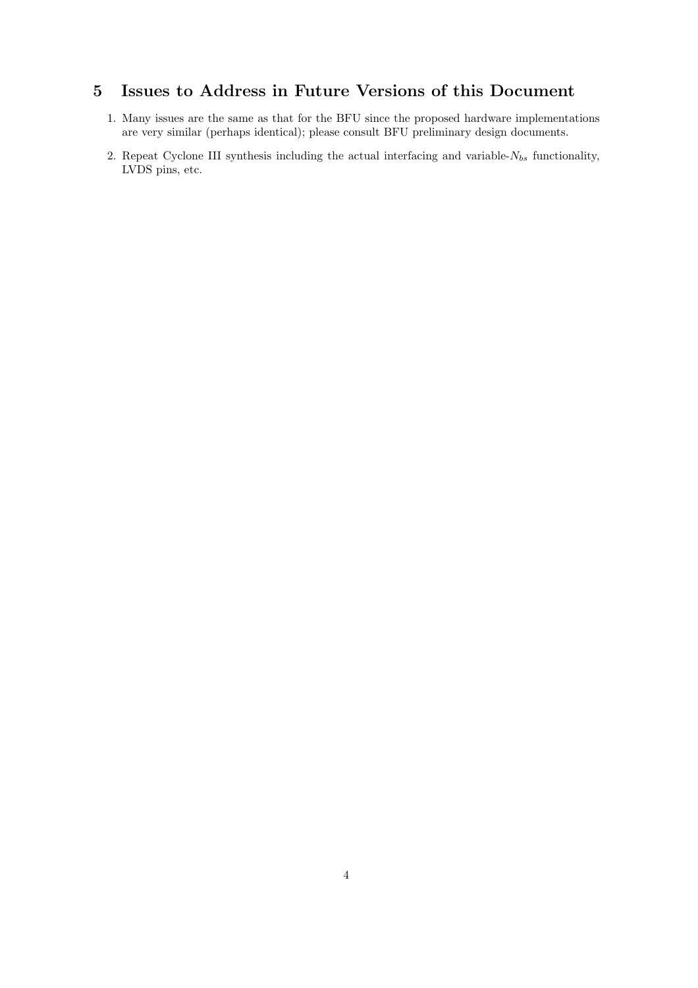#### 5 Issues to Address in Future Versions of this Document

- 1. Many issues are the same as that for the BFU since the proposed hardware implementations are very similar (perhaps identical); please consult BFU preliminary design documents.
- 2. Repeat Cyclone III synthesis including the actual interfacing and variable- $N_{bs}$  functionality, LVDS pins, etc.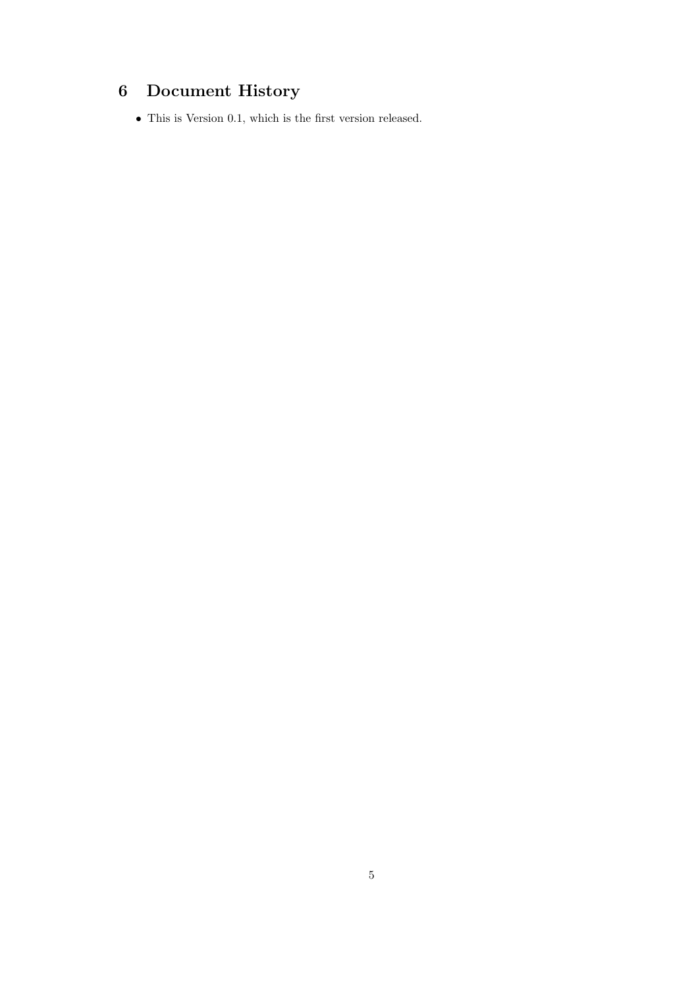## 6 Document History

 $\bullet\,$  This is Version 0.1, which is the first version released.